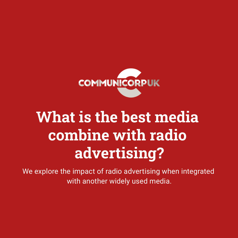

#### **What is the best media combine with radio advertising?**

We explore the impact of radio advertising when integrated with another widely used media.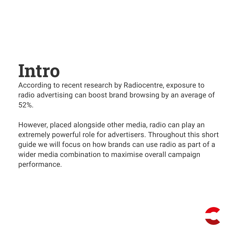#### **Intro**

According to recent research by Radiocentre, exposure to radio advertising can boost brand browsing by an average of 52%.

However, placed alongside other media, radio can play an extremely powerful role for advertisers. Throughout this short guide we will focus on how brands can use radio as part of a wider media combination to maximise overall campaign performance.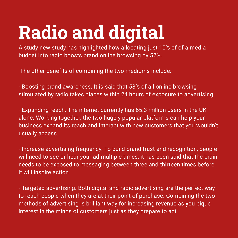## **Radio and digital**

A study new study has highlighted how allocating just 10% of of a media budget into radio boosts brand online browsing by 52%.

The other benefits of combining the two mediums include:

- Boosting brand awareness. It is said that 58% of all online browsing stimulated by radio takes places within 24 hours of exposure to advertising.

- Expanding reach. The internet currently has 65.3 million users in the UK alone. Working together, the two hugely popular platforms can help your business expand its reach and interact with new customers that you wouldn't usually access.

- Increase advertising frequency. To build brand trust and recognition, people will need to see or hear your ad multiple times, it has been said that the brain needs to be exposed to messaging between three and thirteen times before it will inspire action.

- Targeted advertising. Both digital and radio advertising are the perfect way to reach people when they are at their point of purchase. Combining the two methods of advertising is brilliant way for increasing revenue as you pique interest in the minds of customers just as they prepare to act.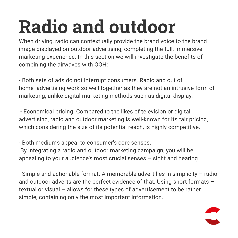# **Radio and outdoor**

When driving, radio can contextually provide the brand voice to the brand image displayed on outdoor advertising, completing the full, immersive marketing experience. In this section we will investigate the benefits of combining the airwaves with OOH:

- Both sets of ads do not interrupt consumers. Radio and out of home advertising work so well together as they are not an intrusive form of marketing, unlike digital marketing methods such as digital display.

- Economical pricing. Compared to the likes of television or digital advertising, radio and outdoor marketing is well-known for its fair pricing, which considering the size of its potential reach, is highly competitive.

- Both mediums appeal to consumer's core senses. By integrating a radio and outdoor marketing campaign, you will be appealing to your audience's most crucial senses – sight and hearing.

- Simple and actionable format. A memorable advert lies in simplicity – radio and outdoor adverts are the perfect evidence of that. Using short formats – textual or visual – allows for these types of advertisement to be rather simple, containing only the most important information.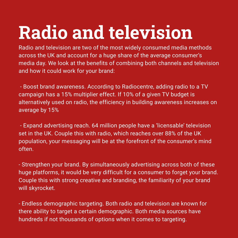## **Radio and television**

Radio and television are two of the most widely consumed media methods across the UK and account for a huge share of the average consumer's media day. We look at the benefits of combining both channels and television and how it could work for your brand:

- Boost brand awareness. According to Radiocentre, adding radio to a TV campaign has a 15% multiplier effect. If 10% of a given TV budget is alternatively used on radio, the efficiency in building awareness increases on average by 15%

- Expand advertising reach. 64 million people have a 'licensable' television set in the UK. Couple this with radio, which reaches over 88% of the UK population, your messaging will be at the forefront of the consumer's mind often.

- Strengthen your brand. By simultaneously advertising across both of these huge platforms, it would be very difficult for a consumer to forget your brand. Couple this with strong creative and branding, the familiarity of your brand will skyrocket.

- Endless demographic targeting. Both radio and television are known for there ability to target a certain demographic. Both media sources have hundreds if not thousands of options when it comes to targeting.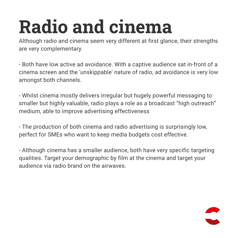# **Radio and cinema**

Although radio and cinema seem very different at first glance, their strengths are very complementary.

- Both have low active ad avoidance. With a captive audience sat in-front of a cinema screen and the 'unskippable' nature of radio, ad avoidance is very low amongst both channels.

- Whilst cinema mostly delivers irregular but hugely powerful messaging to smaller but highly valuable, radio plays a role as a broadcast "high outreach" medium, able to improve advertising effectiveness

- The production of both cinema and radio advertising is surprisingly low, perfect for SMEs who want to keep media budgets cost effective.

- Although cinema has a smaller audience, both have very specific targeting qualities. Target your demographic by film at the cinema and target your audience via radio brand on the airwaves.